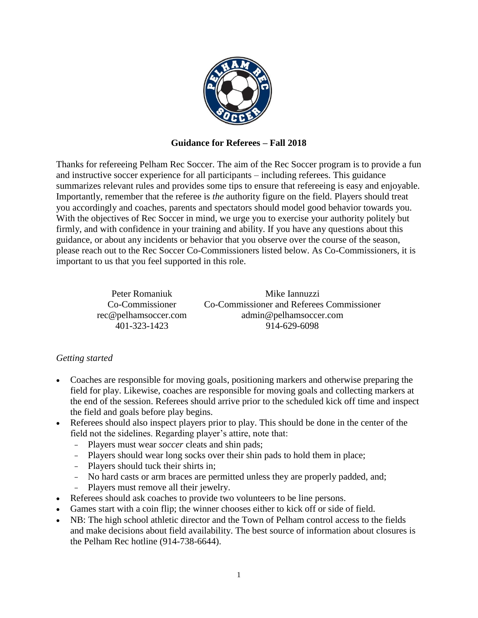

## **Guidance for Referees – Fall 2018**

Thanks for refereeing Pelham Rec Soccer. The aim of the Rec Soccer program is to provide a fun and instructive soccer experience for all participants – including referees. This guidance summarizes relevant rules and provides some tips to ensure that refereeing is easy and enjoyable. Importantly, remember that the referee is *the* authority figure on the field. Players should treat you accordingly and coaches, parents and spectators should model good behavior towards you. With the objectives of Rec Soccer in mind, we urge you to exercise your authority politely but firmly, and with confidence in your training and ability. If you have any questions about this guidance, or about any incidents or behavior that you observe over the course of the season, please reach out to the Rec Soccer Co-Commissioners listed below. As Co-Commissioners, it is important to us that you feel supported in this role.

> Peter Romaniuk Co-Commissioner rec@pelhamsoccer.com 401-323-1423

Mike Iannuzzi Co-Commissioner and Referees Commissioner admin@pelhamsoccer.com 914-629-6098

## *Getting started*

- Coaches are responsible for moving goals, positioning markers and otherwise preparing the field for play. Likewise, coaches are responsible for moving goals and collecting markers at the end of the session. Referees should arrive prior to the scheduled kick off time and inspect the field and goals before play begins.
- Referees should also inspect players prior to play. This should be done in the center of the field not the sidelines. Regarding player's attire, note that:
	- Players must wear *soccer* cleats and shin pads;
	- Players should wear long socks over their shin pads to hold them in place;
	- Players should tuck their shirts in;
	- No hard casts or arm braces are permitted unless they are properly padded, and;
	- Players must remove all their jewelry.
- Referees should ask coaches to provide two volunteers to be line persons.
- Games start with a coin flip; the winner chooses either to kick off or side of field.
- NB: The high school athletic director and the Town of Pelham control access to the fields and make decisions about field availability. The best source of information about closures is the Pelham Rec hotline (914-738-6644).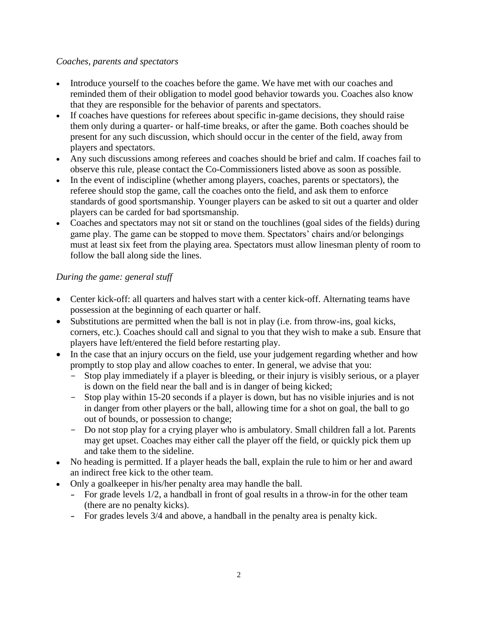## *Coaches, parents and spectators*

- Introduce yourself to the coaches before the game. We have met with our coaches and reminded them of their obligation to model good behavior towards you. Coaches also know that they are responsible for the behavior of parents and spectators.
- If coaches have questions for referees about specific in-game decisions, they should raise them only during a quarter- or half-time breaks, or after the game. Both coaches should be present for any such discussion, which should occur in the center of the field, away from players and spectators.
- Any such discussions among referees and coaches should be brief and calm. If coaches fail to observe this rule, please contact the Co-Commissioners listed above as soon as possible.
- In the event of indiscipline (whether among players, coaches, parents or spectators), the referee should stop the game, call the coaches onto the field, and ask them to enforce standards of good sportsmanship. Younger players can be asked to sit out a quarter and older players can be carded for bad sportsmanship.
- Coaches and spectators may not sit or stand on the touchlines (goal sides of the fields) during game play. The game can be stopped to move them. Spectators' chairs and/or belongings must at least six feet from the playing area. Spectators must allow linesman plenty of room to follow the ball along side the lines.

## *During the game: general stuff*

- Center kick-off: all quarters and halves start with a center kick-off. Alternating teams have possession at the beginning of each quarter or half.
- Substitutions are permitted when the ball is not in play (i.e. from throw-ins, goal kicks, corners, etc.). Coaches should call and signal to you that they wish to make a sub. Ensure that players have left/entered the field before restarting play.
- In the case that an injury occurs on the field, use your judgement regarding whether and how promptly to stop play and allow coaches to enter. In general, we advise that you:
	- Stop play immediately if a player is bleeding, or their injury is visibly serious, or a player is down on the field near the ball and is in danger of being kicked;
	- Stop play within 15-20 seconds if a player is down, but has no visible injuries and is not in danger from other players or the ball, allowing time for a shot on goal, the ball to go out of bounds, or possession to change;
	- Do not stop play for a crying player who is ambulatory. Small children fall a lot. Parents may get upset. Coaches may either call the player off the field, or quickly pick them up and take them to the sideline.
- No heading is permitted. If a player heads the ball, explain the rule to him or her and award an indirect free kick to the other team.
- Only a goalkeeper in his/her penalty area may handle the ball.
	- **-** For grade levels 1/2, a handball in front of goal results in a throw-in for the other team (there are no penalty kicks).
	- **-** For grades levels 3/4 and above, a handball in the penalty area is penalty kick.